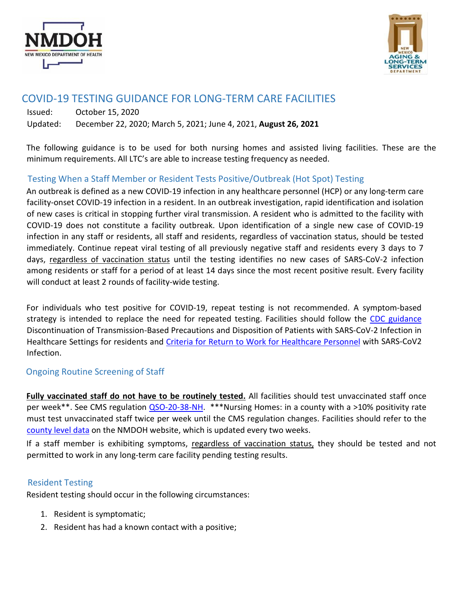



# COVID-19 TESTING GUIDANCE FOR LONG-TERM CARE FACILITIES

Issued: October 15, 2020 Updated: December 22, 2020; March 5, 2021; June 4, 2021, **August 26, 2021**

The following guidance is to be used for both nursing homes and assisted living facilities. These are the minimum requirements. All LTC's are able to increase testing frequency as needed.

### Testing When a Staff Member or Resident Tests Positive/Outbreak (Hot Spot) Testing

An outbreak is defined as a new COVID-19 infection in any healthcare personnel (HCP) or any long-term care facility-onset COVID-19 infection in a resident. In an outbreak investigation, rapid identification and isolation of new cases is critical in stopping further viral transmission. A resident who is admitted to the facility with COVID-19 does not constitute a facility outbreak. Upon identification of a single new case of COVID-19 infection in any staff or residents, all staff and residents, regardless of vaccination status, should be tested immediately. Continue repeat viral testing of all previously negative staff and residents every 3 days to 7 days, regardless of vaccination status until the testing identifies no new cases of SARS-CoV-2 infection among residents or staff for a period of at least 14 days since the most recent positive result. Every facility will conduct at least 2 rounds of facility-wide testing.

For individuals who test positive for COVID-19, repeat testing is not recommended. A symptom-based strategy is intended to replace the need for repeated testing. Facilities should follow the [CDC guidance](https://www.cdc.gov/coronavirus/2019-ncov/hcp/disposition-hospitalized-patients.html) Discontinuation of Transmission-Based Precautions and Disposition of Patients with SARS-CoV-2 Infection in Healthcare Settings for residents and [Criteria for Return to Work for Healthcare Personnel](https://www.cdc.gov/coronavirus/2019-ncov/hcp/return-to-work.html) [wi](https://www.cdc.gov/coronavirus/2019-ncov/hcp/return-to-work.html)th SARS-CoV2 Infection.

#### Ongoing Routine Screening of Staff

**Fully vaccinated staff do not have to be routinely tested.** All facilities should test unvaccinated staff once per week\*\*. See CMS regulati[on QSO-20-38-NH.](https://www.cms.gov/files/document/qso-20-38-nh.pdf) \*\*\*Nursing Homes: in a county with a >10% positivity rate must test unvaccinated staff twice per week until the CMS regulation changes. Facilities should refer to the [county level data](https://cv.nmhealth.org/public-health-orders-and-executive-orders/county-data/) on the NMDOH website, which is updated every two weeks.

If a staff member is exhibiting symptoms, regardless of vaccination status, they should be tested and not permitted to work in any long-term care facility pending testing results.

#### Resident Testing

Resident testing should occur in the following circumstances:

- 1. Resident is symptomatic;
- 2. Resident has had a known contact with a positive;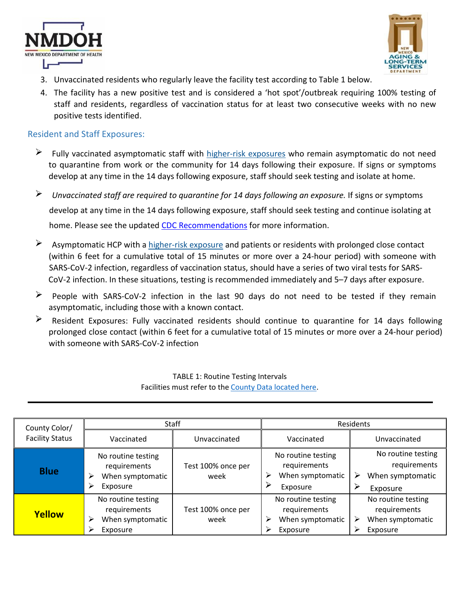



- 3. Unvaccinated residents who regularly leave the facility test according to Table 1 below.
- 4. The facility has a new positive test and is considered a 'hot spot'/outbreak requiring 100% testing of staff and residents, regardless of vaccination status for at least two consecutive weeks with no new positive tests identified.

#### Resident and Staff Exposures:

- $\triangleright$  Fully vaccinated asymptomatic staff with [higher-risk exposures](https://www.cdc.gov/coronavirus/2019-ncov/hcp/guidance-risk-assesment-hcp.html) [wh](https://www.cdc.gov/coronavirus/2019-ncov/hcp/guidance-risk-assesment-hcp.html)o remain asymptomatic do not need to quarantine from work or the community for 14 days following their exposure. If signs or symptoms develop at any time in the 14 days following exposure, staff should seek testing and isolate at home.
- $\blacktriangleright$ *Unvaccinated staff are required to quarantine for 14 days following an exposure.* If signs or symptoms develop at any time in the 14 days following exposure, staff should seek testing and continue isolating at home. Please see the updated [CDC Recommendations](https://www.cdc.gov/coronavirus/2019-ncov/hcp/infection-control-after-vaccination.html) [fo](https://www.cdc.gov/coronavirus/2019-ncov/hcp/infection-control-after-vaccination.html)r more information.
- $\blacktriangleright$ Asymptomatic HCP wit[h a](https://www.cdc.gov/coronavirus/2019-ncov/hcp/guidance-risk-assesment-hcp.html) [higher-risk exp](https://www.cdc.gov/coronavirus/2019-ncov/hcp/guidance-risk-assesment-hcp.html)osure and patients or residents with prolonged close contact (within 6 feet for a cumulative total of 15 minutes or more over a 24-hour period) with someone with SARS-CoV-2 infection, regardless of vaccination status, should have a series of two viral tests for SARS-CoV-2 infection. In these situations, testing is recommended immediately and 5–7 days after exposure.
- People with SARS-CoV-2 infection in the last 90 days do not need to be tested if they remain asymptomatic, including those with a known contact.
- Resident Exposures: Fully vaccinated residents should continue to quarantine for 14 days following prolonged close contact (within 6 feet for a cumulative total of 15 minutes or more over a 24-hour period) with someone with SARS-CoV-2 infection

| County Color/          | Staff                                                                        |                            | Residents                                                               |                                                                         |
|------------------------|------------------------------------------------------------------------------|----------------------------|-------------------------------------------------------------------------|-------------------------------------------------------------------------|
| <b>Facility Status</b> | Vaccinated                                                                   | Unvaccinated               | Vaccinated                                                              | Unvaccinated                                                            |
| <b>Blue</b>            | No routine testing<br>requirements<br>When symptomatic<br>➢<br>Exposure<br>⋗ | Test 100% once per<br>week | No routine testing<br>requirements<br>When symptomatic<br>⋗<br>Exposure | No routine testing<br>requirements<br>When symptomatic<br>⋗<br>Exposure |
| Yellow                 | No routine testing<br>requirements<br>When symptomatic<br>➢<br>Exposure      | Test 100% once per<br>week | No routine testing<br>requirements<br>When symptomatic<br>➤<br>Exposure | No routine testing<br>requirements<br>When symptomatic<br>⋗<br>Exposure |

#### TABLE 1: Routine Testing Intervals Facilities must refer to the [County Data located here.](https://cv.nmhealth.org/public-health-orders-and-executive-orders/county-data/)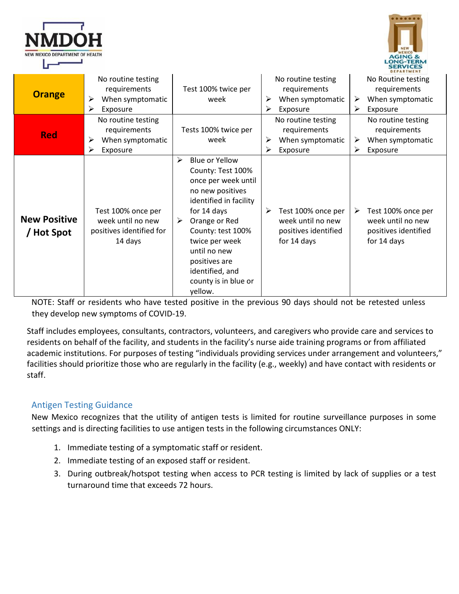| NEW MEXICO DEPARTMENT OF HEALTH |
|---------------------------------|



|                                   |                                                                                |                                                                                                                                                                                                                                                                                         |                                                                                     | DEPARTMENT                                                                          |
|-----------------------------------|--------------------------------------------------------------------------------|-----------------------------------------------------------------------------------------------------------------------------------------------------------------------------------------------------------------------------------------------------------------------------------------|-------------------------------------------------------------------------------------|-------------------------------------------------------------------------------------|
| <b>Orange</b>                     | No routine testing<br>requirements<br>When symptomatic<br>➤<br>⋗<br>Exposure   | Test 100% twice per<br>week                                                                                                                                                                                                                                                             | No routine testing<br>requirements<br>When symptomatic<br>➤<br>≻<br>Exposure        | No Routine testing<br>requirements<br>When symptomatic<br>➤<br>Exposure<br>➤        |
| <b>Red</b>                        | No routine testing<br>requirements<br>When symptomatic<br>≻<br>⋗<br>Exposure   | Tests 100% twice per<br>week                                                                                                                                                                                                                                                            | No routine testing<br>requirements<br>When symptomatic<br>➤<br>⋗<br>Exposure        | No routine testing<br>requirements<br>When symptomatic<br>➤<br>≻<br>Exposure        |
| <b>New Positive</b><br>/ Hot Spot | Test 100% once per<br>week until no new<br>positives identified for<br>14 days | <b>Blue or Yellow</b><br>➤<br>County: Test 100%<br>once per week until<br>no new positives<br>identified in facility<br>for 14 days<br>Orange or Red<br>➤<br>County: test 100%<br>twice per week<br>until no new<br>positives are<br>identified, and<br>county is in blue or<br>yellow. | ≻<br>Test 100% once per<br>week until no new<br>positives identified<br>for 14 days | Test 100% once per<br>➤<br>week until no new<br>positives identified<br>for 14 days |

NOTE: Staff or residents who have tested positive in the previous 90 days should not be retested unless they develop new symptoms of COVID-19.

Staff includes employees, consultants, contractors, volunteers, and caregivers who provide care and services to residents on behalf of the facility, and students in the facility's nurse aide training programs or from affiliated academic institutions. For purposes of testing "individuals providing services under arrangement and volunteers," facilities should prioritize those who are regularly in the facility (e.g., weekly) and have contact with residents or staff.

## Antigen Testing Guidance

New Mexico recognizes that the utility of antigen tests is limited for routine surveillance purposes in some settings and is directing facilities to use antigen tests in the following circumstances ONLY:

- 1. Immediate testing of a symptomatic staff or resident.
- 2. Immediate testing of an exposed staff or resident.
- 3. During outbreak/hotspot testing when access to PCR testing is limited by lack of supplies or a test turnaround time that exceeds 72 hours.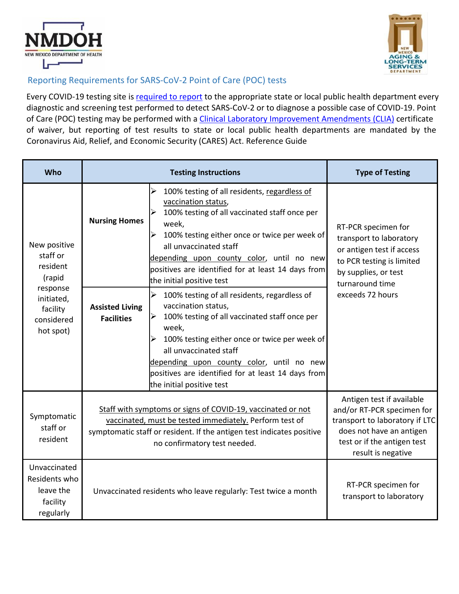



## Reporting Requirements for SARS-CoV-2 Point of Care (POC) tests

Every COVID-19 te[s](https://www.cdc.gov/coronavirus/2019-ncov/lab/reporting-lab-data.html)ting site is [required to report](https://www.cdc.gov/coronavirus/2019-ncov/lab/reporting-lab-data.html) to the appropriate state or local public health department every diagnostic and screening test performed to detect SARS-CoV-2 or to diagnose a possible case of COVID-19. Point of C[a](https://www.cms.gov/Regulations-and-Guidance/Legislation/CLIA)re (POC) testing may be performed with a *[Clinical Laboratory Improvement Amendments \(CLIA\)](https://www.cms.gov/Regulations-and-Guidance/Legislation/CLIA)* [c](https://www.cms.gov/Regulations-and-Guidance/Legislation/CLIA)ertificate of waiver, but reporting of test results to state or local public health departments are mandated by the Coronavirus Aid, Relief, and Economic Security (CARES) Act. Reference Guide

| Who                                                                                                             | <b>Testing Instructions</b>                                                                                                                                                                                                     |                                                                                                                                                                                                                                                                                                                                                                                       | <b>Type of Testing</b>                                                                                                                                                     |
|-----------------------------------------------------------------------------------------------------------------|---------------------------------------------------------------------------------------------------------------------------------------------------------------------------------------------------------------------------------|---------------------------------------------------------------------------------------------------------------------------------------------------------------------------------------------------------------------------------------------------------------------------------------------------------------------------------------------------------------------------------------|----------------------------------------------------------------------------------------------------------------------------------------------------------------------------|
| New positive<br>staff or<br>resident<br>(rapid<br>response<br>initiated,<br>facility<br>considered<br>hot spot) | <b>Nursing Homes</b>                                                                                                                                                                                                            | ➤<br>100% testing of all residents, regardless of<br>vaccination status,<br>100% testing of all vaccinated staff once per<br>week,<br>100% testing either once or twice per week of<br>$\blacktriangle$<br>all unvaccinated staff<br>depending upon county color, until no new<br>positives are identified for at least 14 days from<br>the initial positive test                     | RT-PCR specimen for<br>transport to laboratory<br>or antigen test if access<br>to PCR testing is limited<br>by supplies, or test<br>turnaround time                        |
|                                                                                                                 | <b>Assisted Living</b><br><b>Facilities</b>                                                                                                                                                                                     | $\blacktriangle$<br>100% testing of all residents, regardless of<br>vaccination status,<br>100% testing of all vaccinated staff once per<br>$\blacktriangle$<br>week,<br>100% testing either once or twice per week of<br>⋗<br>all unvaccinated staff<br>depending upon county color, until no new<br>positives are identified for at least 14 days from<br>the initial positive test | exceeds 72 hours                                                                                                                                                           |
| Symptomatic<br>staff or<br>resident                                                                             | Staff with symptoms or signs of COVID-19, vaccinated or not<br>vaccinated, must be tested immediately. Perform test of<br>symptomatic staff or resident. If the antigen test indicates positive<br>no confirmatory test needed. |                                                                                                                                                                                                                                                                                                                                                                                       | Antigen test if available<br>and/or RT-PCR specimen for<br>transport to laboratory if LTC<br>does not have an antigen<br>test or if the antigen test<br>result is negative |
| Unvaccinated<br>Residents who<br>leave the<br>facility<br>regularly                                             | Unvaccinated residents who leave regularly: Test twice a month                                                                                                                                                                  |                                                                                                                                                                                                                                                                                                                                                                                       | RT-PCR specimen for<br>transport to laboratory                                                                                                                             |